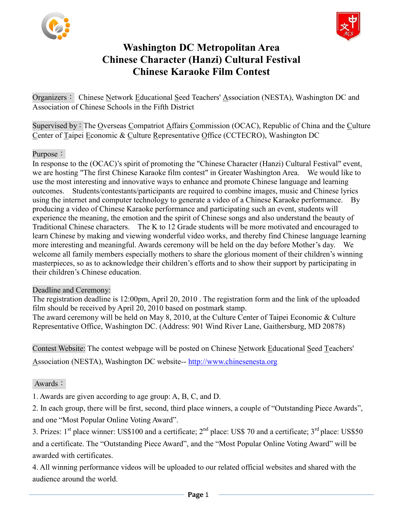



## **Washington DC Metropolitan Area Chinese Character (Hanzi) Cultural Festival Chinese Karaoke Film Contest**

Organizers: Chinese Network Educational Seed Teachers' Association (NESTA), Washington DC and Association of Chinese Schools in the Fifth District

Supervised by: The Overseas Compatriot Affairs Commission (OCAC), Republic of China and the Culture Center of Taipei Economic & Culture Representative Office (CCTECRO), Washington DC

#### Purpose:

In response to the (OCAC)'s spirit of promoting the "Chinese Character (Hanzi) Cultural Festival" event, we are hosting "The first Chinese Karaoke film contest" in Greater Washington Area. We would like to use the most interesting and innovative ways to enhance and promote Chinese language and learning outcomes. Students/contestants/participants are required to combine images, music and Chinese lyrics using the internet and computer technology to generate a video of a Chinese Karaoke performance. By producing a video of Chinese Karaoke performance and participating such an event, students will experience the meaning, the emotion and the spirit of Chinese songs and also understand the beauty of Traditional Chinese characters. The K to 12 Grade students will be more motivated and encouraged to learn Chinese by making and viewing wonderful video works, and thereby find Chinese language learning more interesting and meaningful. Awards ceremony will be held on the day before Mother's day. We welcome all family members especially mothers to share the glorious moment of their children's winning masterpieces, so as to acknowledge their children's efforts and to show their support by participating in their children's Chinese education.

#### Deadline and Ceremony:

The registration deadline is 12:00pm, April 20, 2010 . The registration form and the link of the uploaded film should be received by April 20, 2010 based on postmark stamp.

The award ceremony will be held on May 8, 2010, at the Culture Center of Taipei Economic & Culture Representative Office, Washington DC. (Address: 901 Wind River Lane, Gaithersburg, MD 20878)

Contest Website: The contest webpage will be posted on Chinese Network Educational Seed Teachers'

Association (NESTA), Washington DC website-- [http://www.chinesenesta.org](http://www.chinesenesta.org/)

#### Awards:

1. Awards are given according to age group: A, B, C, and D.

2. In each group, there will be first, second, third place winners, a couple of "Outstanding Piece Awards", and one "Most Popular Online Voting Award".

3. Prizes:  $1<sup>st</sup>$  place winner: US\$100 and a certificate;  $2<sup>nd</sup>$  place: US\$ 70 and a certificate;  $3<sup>rd</sup>$  place: US\$50 and a certificate. The "Outstanding Piece Award", and the "Most Popular Online Voting Award" will be awarded with certificates.

4. All winning performance videos will be uploaded to our related official websites and shared with the audience around the world.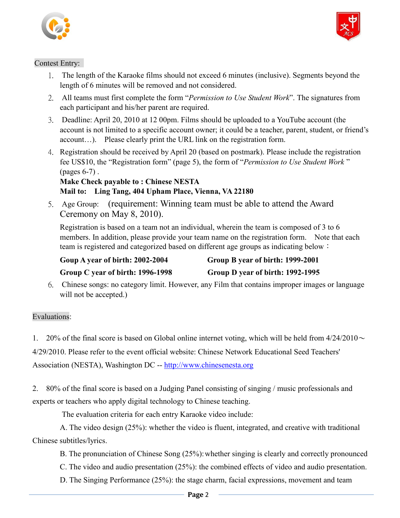



#### Contest Entry:

- 1. The length of the Karaoke films should not exceed 6 minutes (inclusive). Segments beyond the length of 6 minutes will be removed and not considered.
- 2. All teams must first complete the form "*Permission to Use Student Work*". The signatures from each participant and his/her parent are required.
- 3. Deadline: April 20, 2010 at 12 00pm. Films should be uploaded to a YouTube account (the account is not limited to a specific account owner; it could be a teacher, parent, student, or friend's account…). Please clearly print the URL link on the registration form.
- 4. Registration should be received by April 20 (based on postmark). Please include the registration fee US\$10, the "Registration form" (page 5), the form of "*Permission to Use Student Work* " (pages 6-7) .

### **Make Check payable to : Chinese NESTA Mail to: Ling Tang, 404 Upham Place, Vienna, VA 22180**

5. Age Group: (requirement: Winning team must be able to attend the Award Ceremony on May 8, 2010).

Registration is based on a team not an individual, wherein the team is composed of 3 to 6 members. In addition, please provide your team name on the registration form. Note that each team is registered and categorized based on different age groups as indicating below:

**Goup A year of birth: 2002-2004 Group B year of birth: 1999-2001**

 **Group C year of birth: 1996-1998 Group D year of birth: 1992-1995**

6. Chinese songs: no category limit. However, any Film that contains improper images or language will not be accepted.)

#### Evaluations:

1. 20% of the final score is based on Global online internet voting, which will be held from  $4/24/2010 \sim$ 

4/29/2010. Please refer to the event official website: Chinese Network Educational Seed Teachers'

Association (NESTA), Washington DC -- [http://www.chinesenesta.org](http://www.chinesenesta.org/)

2. 80% of the final score is based on a Judging Panel consisting of singing / music professionals and experts or teachers who apply digital technology to Chinese teaching.

The evaluation criteria for each entry Karaoke video include:

 A. The video design (25%): whether the video is fluent, integrated, and creative with traditional Chinese subtitles/lyrics.

- B. The pronunciation of Chinese Song (25%): whether singing is clearly and correctly pronounced
- C. The video and audio presentation (25%): the combined effects of video and audio presentation.
- D. The Singing Performance (25%): the stage charm, facial expressions, movement and team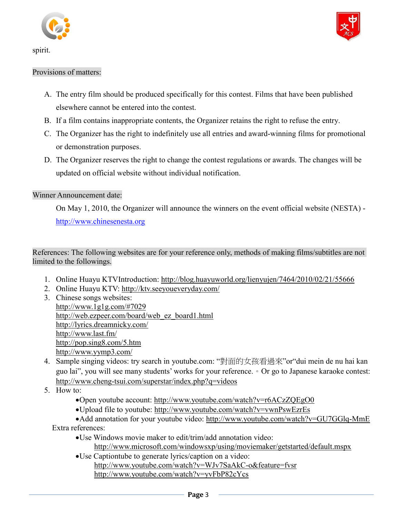

spirit.



#### Provisions of matters:

- A. The entry film should be produced specifically for this contest. Films that have been published elsewhere cannot be entered into the contest.
- B. If a film contains inappropriate contents, the Organizer retains the right to refuse the entry.
- C. The Organizer has the right to indefinitely use all entries and award-winning films for promotional or demonstration purposes.
- D. The Organizer reserves the right to change the contest regulations or awards. The changes will be updated on official website without individual notification.

#### Winner Announcement date:

On May 1, 2010, the Organizer will announce the winners on the event official website (NESTA) [http://www.chinesenesta.org](http://www.chinesenesta.org/)

References: The following websites are for your reference only, methods of making films/subtitles are not limited to the followings.

- 1. Online Huayu KTVIntroduction:<http://blog.huayuworld.org/lienyujen/7464/2010/02/21/55666>
- 2. Online Huayu KTV:<http://ktv.seeyoueveryday.com/>
- 3. Chinese songs websites: <http://www.1g1g.com/#7029> [http://web.ezpeer.com/board/web\\_ez\\_board1.html](http://web.ezpeer.com/board/web_ez_board1.html) <http://lyrics.dreamnicky.com/> <http://www.last.fm/> <http://pop.sing8.com/5.htm> http://www.yymp3.com/
- 4. Sample singing videos: try search in youtube.com: "對面的女孩看過來"or"dui mein de nu hai kan guo lai", you will see many students' works for your reference.。Or go to Japanese karaoke contest: http://www.cheng-tsui.com/superstar/index.php?q=videos
- 5. How to:
	- Open youtube account:<http://www.youtube.com/watch?v=r6ACzZQEgO0>
	- Upload file to youtube:<http://www.youtube.com/watch?v=vwnPswEzrEs>
	- Add annotation for your youtube video:<http://www.youtube.com/watch?v=GU7GGlq-MmE> Extra references:
		- Use Windows movie maker to edit/trim/add annotation video:
			- <http://www.microsoft.com/windowsxp/using/moviemaker/getstarted/default.mspx>
		- Use Captiontube to generate lyrics/caption on a video: <http://www.youtube.com/watch?v=WJv7SaAkC-o&feature=fvsr> <http://www.youtube.com/watch?v=yvFbP82cYcs>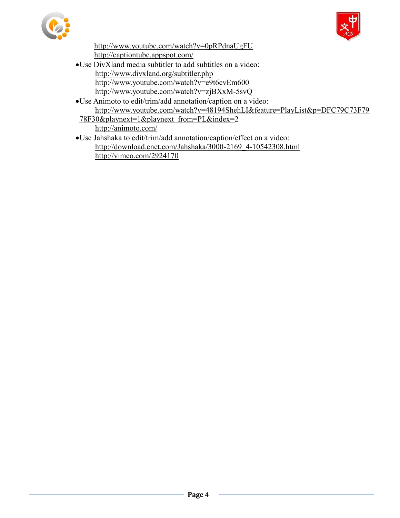



http://www.youtube.com/watch?v=0pRPdnaUgFU <http://captiontube.appspot.com/>

- Use DivXland media subtitler to add subtitles on a video: http://www.divxland.org/subtitler.php <http://www.youtube.com/watch?v=e9t6cvEm600> <http://www.youtube.com/watch?v=zjBXxM-5svQ>
- Use Animoto to edit/trim/add annotation/caption on a video: http://www.youtube.com/watch?v=48194ShehLI&feature=PlayList&p=DFC79C73F79
- 78F30&playnext=1&playnext\_from=PL&index=2 <http://animoto.com/>
- Use Jahshaka to edit/trim/add annotation/caption/effect on a video: [http://download.cnet.com/Jahshaka/3000-2169\\_4-10542308.html](http://download.cnet.com/Jahshaka/3000-2169_4-10542308.html) http://vimeo.com/2924170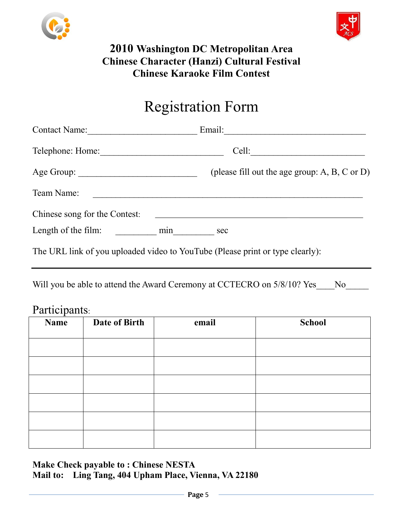



# **2010 Washington DC Metropolitan Area Chinese Character (Hanzi) Cultural Festival Chinese Karaoke Film Contest**

# Registration Form

| Contact Name:                 | Email:<br><u> 1980 - Jan Berlin, margaret al II-lea (h. 1980).</u>            |
|-------------------------------|-------------------------------------------------------------------------------|
|                               | Cell:                                                                         |
|                               | (please fill out the age group: $A, B, C$ or $D$ )                            |
| Team Name:                    |                                                                               |
| Chinese song for the Contest: |                                                                               |
| Length of the film: min       | sec                                                                           |
|                               | The URL link of you uploaded video to YouTube (Please print or type clearly): |

Will you be able to attend the Award Ceremony at CCTECRO on 5/8/10? Yes No

### Participants:

| <b>Name</b> | Date of Birth | email | <b>School</b> |
|-------------|---------------|-------|---------------|
|             |               |       |               |
|             |               |       |               |
|             |               |       |               |
|             |               |       |               |
|             |               |       |               |
|             |               |       |               |
|             |               |       |               |

**Make Check payable to : Chinese NESTA Mail to: Ling Tang, 404 Upham Place, Vienna, VA 22180**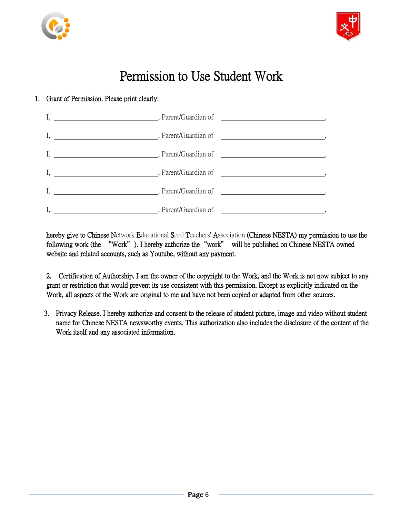



# Permission to Use Student Work

#### 1. Grant of Permission. Please print clearly:



hereby give to Chinese Network Educational Seed Teachers' Association (Chinese NESTA) my permission to use the following work (the "Work"). I hereby authorize the"work" will be published on Chinese NESTA owned website and related accounts, such as Youtube, without any payment.

2. Certification of Authorship. I am the owner of the copyright to the Work, and the Work is not now subject to any grant or restriction that would prevent its use consistent with this permission. Except as explicitly indicated on the Work, all aspects of the Work are original to me and have not been copied or adapted from other sources.

3. Privacy Release. I hereby authorize and consent to the release of student picture, image and video without student name for Chinese NESTA newsworthy events. This authorization also includes the disclosure of the content of the Work itself and any associated information.